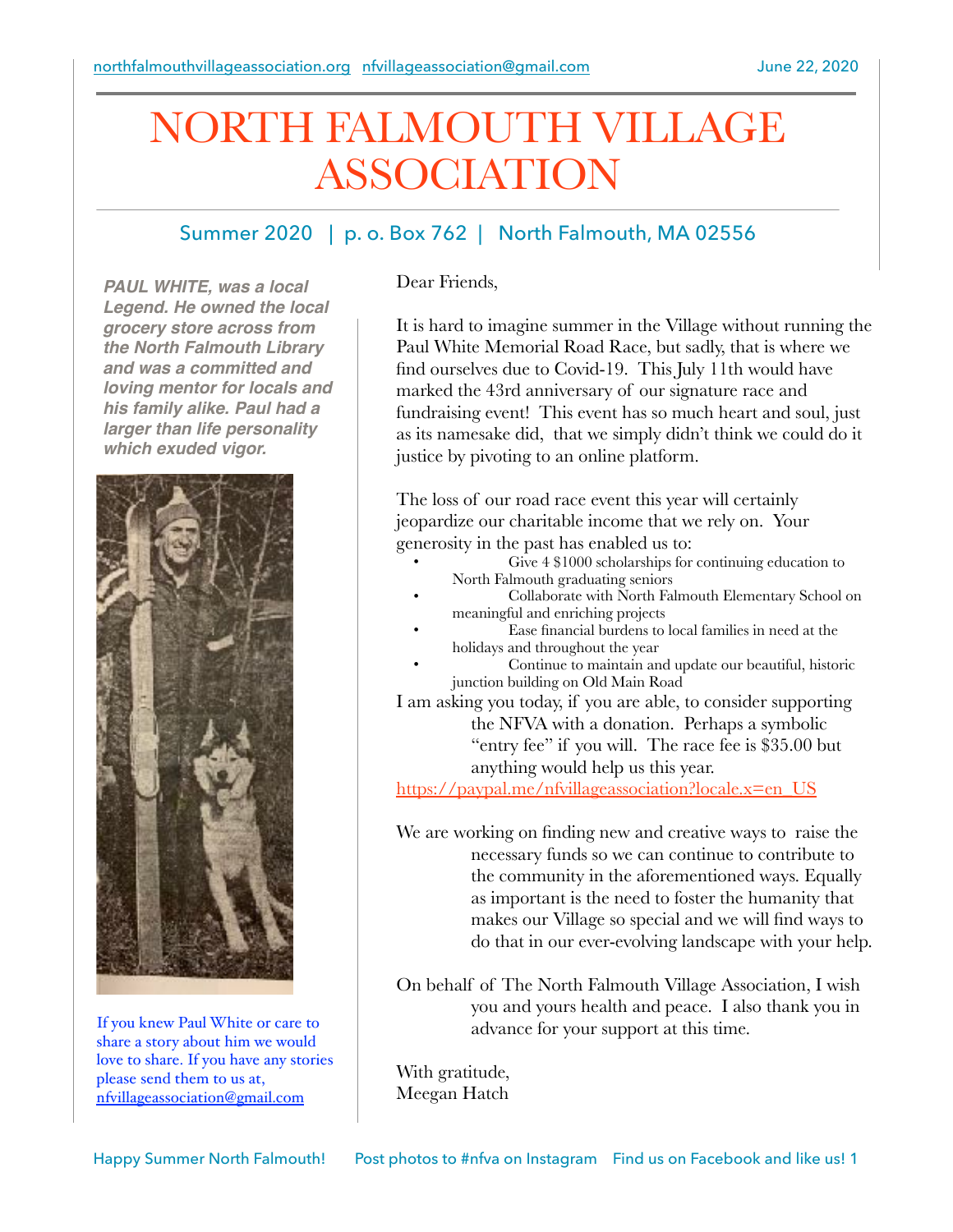# NORTH FALMOUTH VILLAGE ASSOCIATION

## Summer 2020 | p. o. Box 762 | North Falmouth, MA 02556

*PAUL WHITE, was a local Legend. He owned the local grocery store across from the North Falmouth Library and was a committed and loving mentor for locals and his family alike. Paul had a larger than life personality which exuded vigor.*



If you knew Paul White or care to share a story about him we would love to share. If you have any stories please send them to us at, [nfvillageassociation@gmail.com](mailto:nfvillageassociation@gmail.com)

Dear Friends,

It is hard to imagine summer in the Village without running the Paul White Memorial Road Race, but sadly, that is where we find ourselves due to Covid-19. This July 11th would have marked the 43rd anniversary of our signature race and fundraising event! This event has so much heart and soul, just as its namesake did, that we simply didn't think we could do it justice by pivoting to an online platform.

The loss of our road race event this year will certainly jeopardize our charitable income that we rely on. Your generosity in the past has enabled us to:

- Give  $4$  \$1000 scholarships for continuing education to North Falmouth graduating seniors
- Collaborate with North Falmouth Elementary School on meaningful and enriching projects
- Ease financial burdens to local families in need at the holidays and throughout the year
- Continue to maintain and update our beautiful, historic junction building on Old Main Road
- I am asking you today, if you are able, to consider supporting the NFVA with a donation. Perhaps a symbolic "entry fee" if you will. The race fee is \$35.00 but anything would help us this year.

[https://paypal.me/nfvillageassociation?locale.x=en\\_US](https://paypal.me/nfvillageassociation?locale.x=en_US)

We are working on finding new and creative ways to raise the necessary funds so we can continue to contribute to the community in the aforementioned ways. Equally as important is the need to foster the humanity that makes our Village so special and we will find ways to do that in our ever-evolving landscape with your help.

On behalf of The North Falmouth Village Association, I wish you and yours health and peace. I also thank you in advance for your support at this time.

With gratitude, Meegan Hatch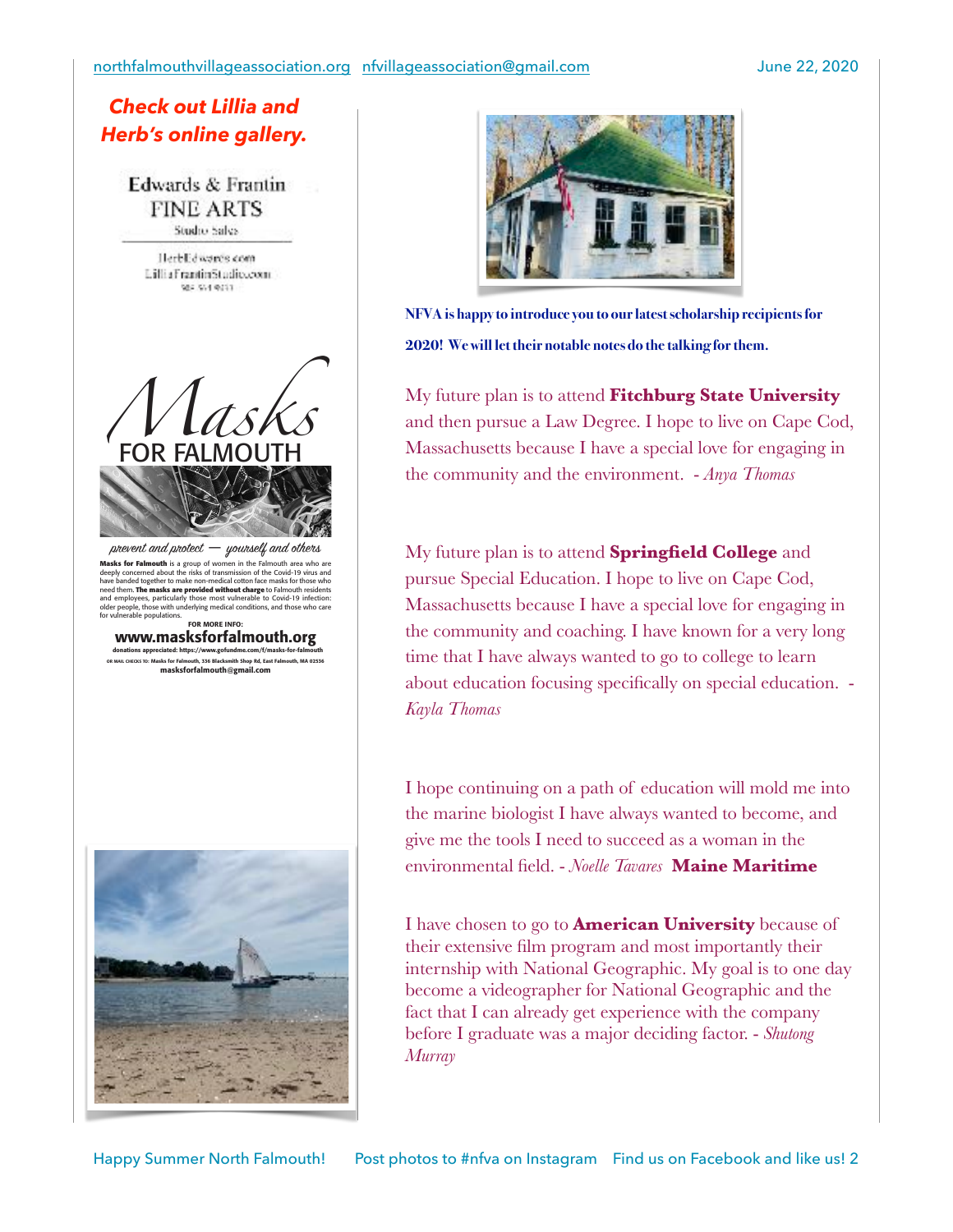#### *Check out Lillia and Herb's online gallery.*

**Edwards & Frantin FINE ARTS** Studio Salva

HerbEdwards.com Liftia Frantin Studiocom. 984, 974, 9751



 $p$ nevent and  $p$ notect  $-$  younself and others

**Masks for Falmouth** is a group of women in the Falmouth area who are<br>deeply concerned about the risks of transmission of the Covid-19 virus and<br>have banded together to make non-medical cotton face masks for those who need them. **The masks are provided without charge** to Falmouth residents<br>and employees, particularly those most vulnerable to Covid-19 infection:<br>older people, those with underlying medical conditions, and those who care for vulnerable populations. FOR MORE INFO:

www.masksforfalmouth.org donations appreciated: https://www.gofundme.com/f/masks-for-falmouth OR MAIL CHECKS TO: Masks for Falmouth, 336 Blacksmith Shop Rd, East Falmouth, MA 02536 masksforfalmouth@gmail.com





**NFVA is happy to introduce you to our latest scholarship recipients for 2020! We will let their notable notes do the talking for them.**

My future plan is to attend **Fitchburg State University** and then pursue a Law Degree. I hope to live on Cape Cod, Massachusetts because I have a special love for engaging in the community and the environment. - *Anya Thomas*

My future plan is to attend **Springfield College** and pursue Special Education. I hope to live on Cape Cod, Massachusetts because I have a special love for engaging in the community and coaching. I have known for a very long time that I have always wanted to go to college to learn about education focusing specifically on special education. - *Kayla Thomas*

I hope continuing on a path of education will mold me into the marine biologist I have always wanted to become, and give me the tools I need to succeed as a woman in the environmental field. - *Noelle Tavares* **Maine Maritime**

I have chosen to go to **American University** because of their extensive film program and most importantly their internship with National Geographic. My goal is to one day become a videographer for National Geographic and the fact that I can already get experience with the company before I graduate was a major deciding factor. - *Shutong Murray*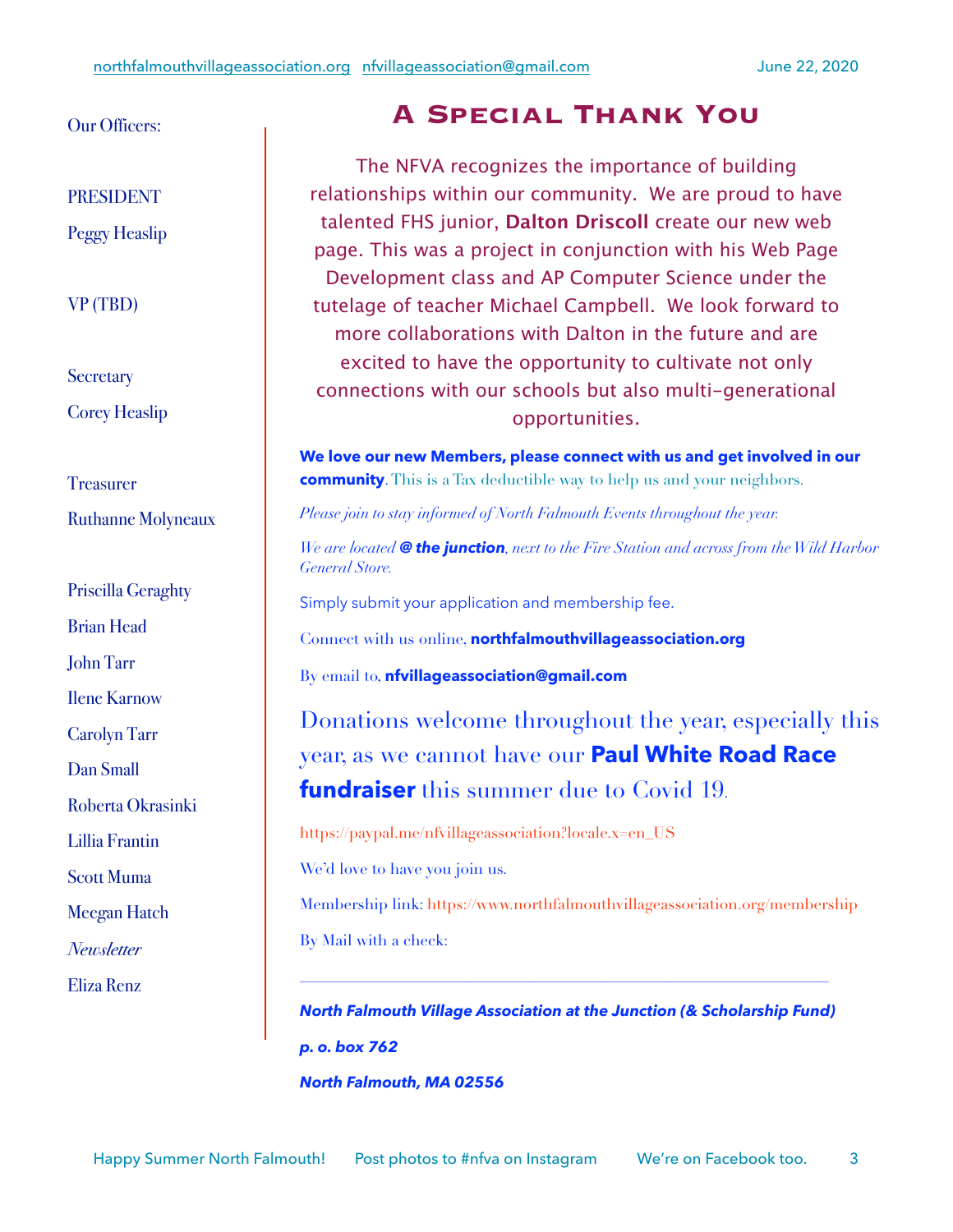#### Our Officers:

PRESIDENT

Peggy Heaslip

#### VP (TBD)

## **Secretary** Corey Heaslip

**Treasurer** Ruthanne Molyneaux

Priscilla Geraghty Brian Head John Tarr Ilene Karnow Carolyn Tarr Dan Small Roberta Okrasinki Lillia Frantin Scott Muma Meegan Hatch *Newsletter* Eliza Renz

## **A Special Thank You**

The NFVA recognizes the importance of building relationships within our community. We are proud to have talented FHS junior, **Dalton Driscoll** create our new web page. This was a project in conjunction with his Web Page Development class and AP Computer Science under the tutelage of teacher Michael Campbell. We look forward to more collaborations with Dalton in the future and are excited to have the opportunity to cultivate not only connections with our schools but also multi-generational opportunities.

**We love our new Members, please connect with us and get involved in our community**. This is a Tax deductible way to help us and your neighbors.

*Please join to stay informed of North Falmouth Events throughout the year.* 

*We are located @ the junction, next to the Fire Station and across from the Wild Harbor General Store.*

Simply submit your application and membership fee.

Connect with us online, **northfalmouthvillageassociation.org**

By email to, **nfvillageassociation@gmail.com**

Donations welcome throughout the year, especially this year, as we cannot have our **Paul White Road Race fundraiser** this summer due to Covid 19.

https://paypal.me/nfvillageassociation?locale.x=en\_US

We'd love to have you join us.

Membership link: https://www.northfalmouthvillageassociation.org/membership By Mail with a check:

*North Falmouth Village Association at the Junction (& Scholarship Fund) p. o. box 762 North Falmouth, MA 02556*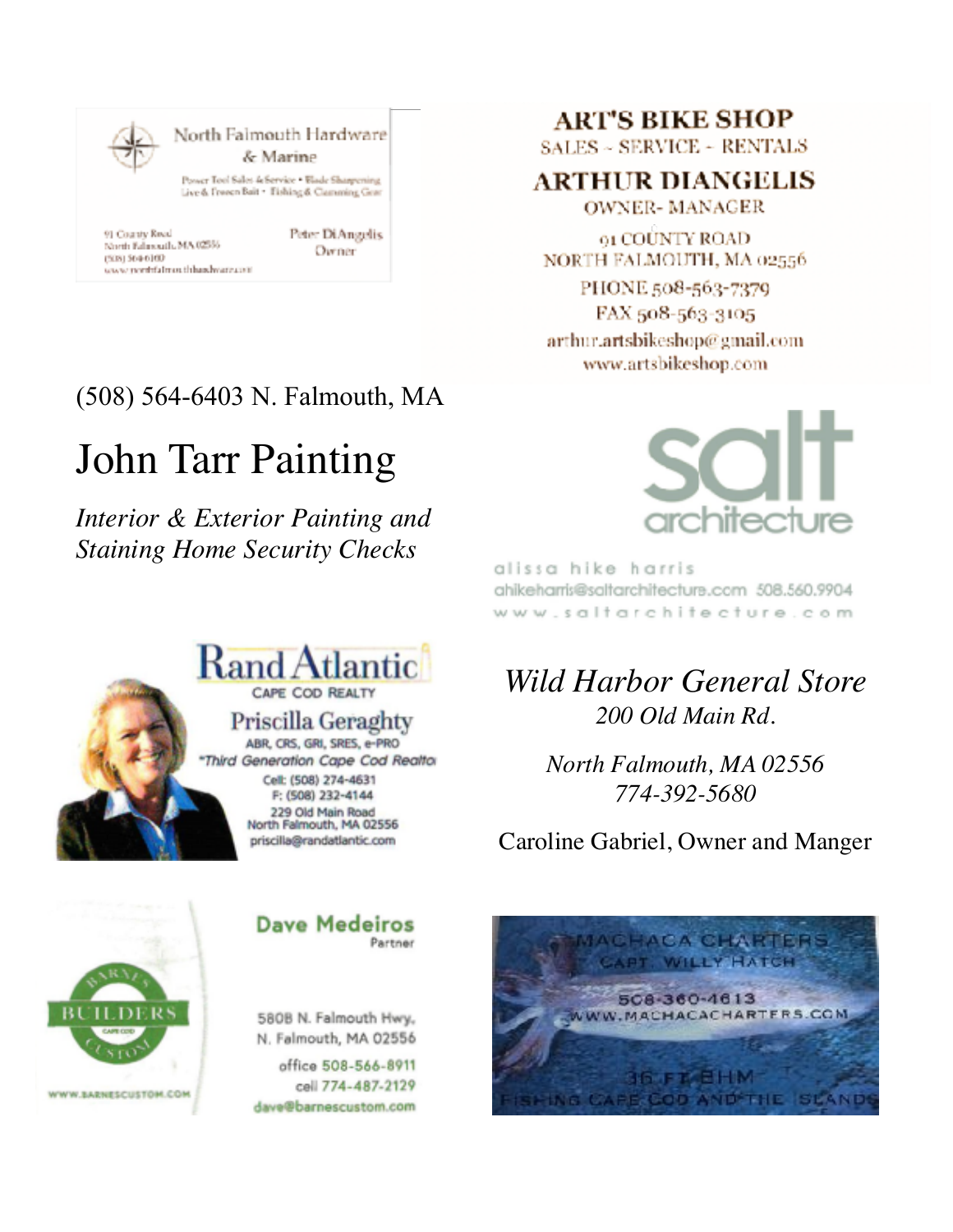

# (508) 564-6403 N. Falmouth, MA

# John Tarr Painting

*Interior & Exterior Painting and Staining Home Security Checks* 



## **ART'S BIKE SHOP**

 $SALES \sim SERVICE \sim RENTALS$ 

**ARTHUR DIANGELIS** 

**OWNER-MANAGER** 

**61 COUNTY ROAD** NORTH FALMOUTH, MA 02556

PHONE 508-563-7379 FAX 508-563-3105 arthur.artsbikeshop@gmail.com www.artsbikeshop.com



alissa hike harris ahikeharris@saltarchitecture.ccm 508.560.9904 www.saltarchitecture.com

# *Wild Harbor General Store 200 Old Main Rd.*

*North Falmouth, MA 02556 774-392-5680* 

Caroline Gabriel, Owner and Manger



**Dave Medeiros** Partner

580B N. Falmouth Hwy. N. Falmouth, MA 02556

office 508-566-8911 cell 774-487-2129 dave@barnescustom.com